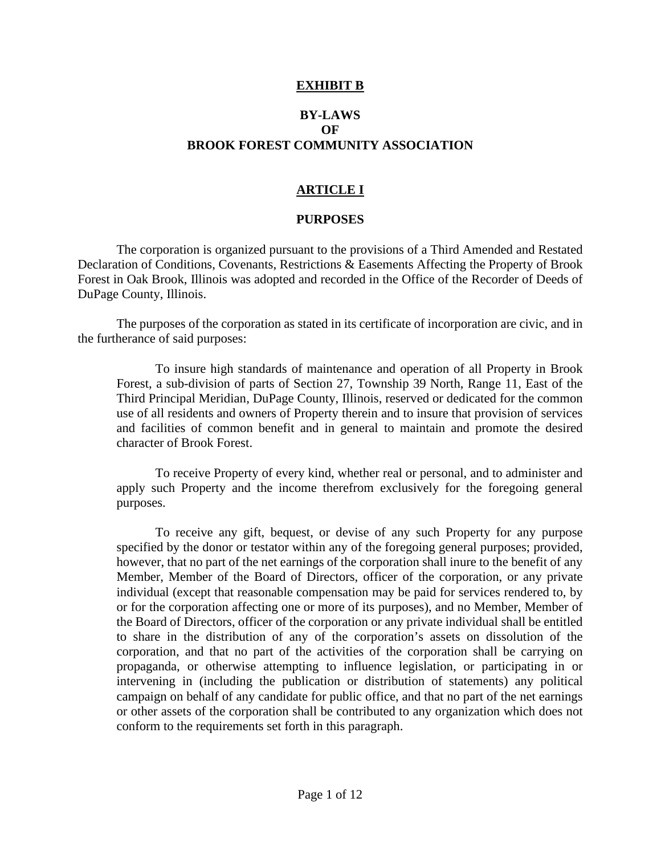#### **EXHIBIT B**

## **BY-LAWS OF BROOK FOREST COMMUNITY ASSOCIATION**

## **ARTICLE I**

#### **PURPOSES**

The corporation is organized pursuant to the provisions of a Third Amended and Restated Declaration of Conditions, Covenants, Restrictions & Easements Affecting the Property of Brook Forest in Oak Brook, Illinois was adopted and recorded in the Office of the Recorder of Deeds of DuPage County, Illinois.

The purposes of the corporation as stated in its certificate of incorporation are civic, and in the furtherance of said purposes:

To insure high standards of maintenance and operation of all Property in Brook Forest, a sub-division of parts of Section 27, Township 39 North, Range 11, East of the Third Principal Meridian, DuPage County, Illinois, reserved or dedicated for the common use of all residents and owners of Property therein and to insure that provision of services and facilities of common benefit and in general to maintain and promote the desired character of Brook Forest.

To receive Property of every kind, whether real or personal, and to administer and apply such Property and the income therefrom exclusively for the foregoing general purposes.

To receive any gift, bequest, or devise of any such Property for any purpose specified by the donor or testator within any of the foregoing general purposes; provided, however, that no part of the net earnings of the corporation shall inure to the benefit of any Member, Member of the Board of Directors, officer of the corporation, or any private individual (except that reasonable compensation may be paid for services rendered to, by or for the corporation affecting one or more of its purposes), and no Member, Member of the Board of Directors, officer of the corporation or any private individual shall be entitled to share in the distribution of any of the corporation's assets on dissolution of the corporation, and that no part of the activities of the corporation shall be carrying on propaganda, or otherwise attempting to influence legislation, or participating in or intervening in (including the publication or distribution of statements) any political campaign on behalf of any candidate for public office, and that no part of the net earnings or other assets of the corporation shall be contributed to any organization which does not conform to the requirements set forth in this paragraph.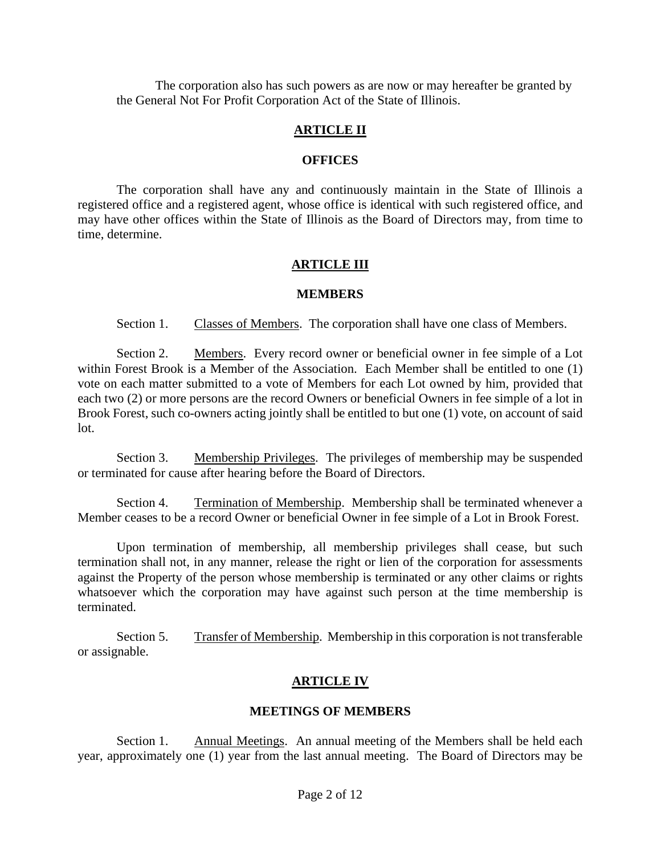The corporation also has such powers as are now or may hereafter be granted by the General Not For Profit Corporation Act of the State of Illinois.

#### **ARTICLE II**

#### **OFFICES**

The corporation shall have any and continuously maintain in the State of Illinois a registered office and a registered agent, whose office is identical with such registered office, and may have other offices within the State of Illinois as the Board of Directors may, from time to time, determine.

#### **ARTICLE III**

#### **MEMBERS**

Section 1. Classes of Members. The corporation shall have one class of Members.

Section 2. Members. Every record owner or beneficial owner in fee simple of a Lot within Forest Brook is a Member of the Association. Each Member shall be entitled to one (1) vote on each matter submitted to a vote of Members for each Lot owned by him, provided that each two (2) or more persons are the record Owners or beneficial Owners in fee simple of a lot in Brook Forest, such co-owners acting jointly shall be entitled to but one (1) vote, on account of said lot.

Section 3. Membership Privileges. The privileges of membership may be suspended or terminated for cause after hearing before the Board of Directors.

Section 4. Termination of Membership. Membership shall be terminated whenever a Member ceases to be a record Owner or beneficial Owner in fee simple of a Lot in Brook Forest.

Upon termination of membership, all membership privileges shall cease, but such termination shall not, in any manner, release the right or lien of the corporation for assessments against the Property of the person whose membership is terminated or any other claims or rights whatsoever which the corporation may have against such person at the time membership is terminated.

Section 5. Transfer of Membership. Membership in this corporation is not transferable or assignable.

## **ARTICLE IV**

#### **MEETINGS OF MEMBERS**

Section 1. Annual Meetings. An annual meeting of the Members shall be held each year, approximately one (1) year from the last annual meeting. The Board of Directors may be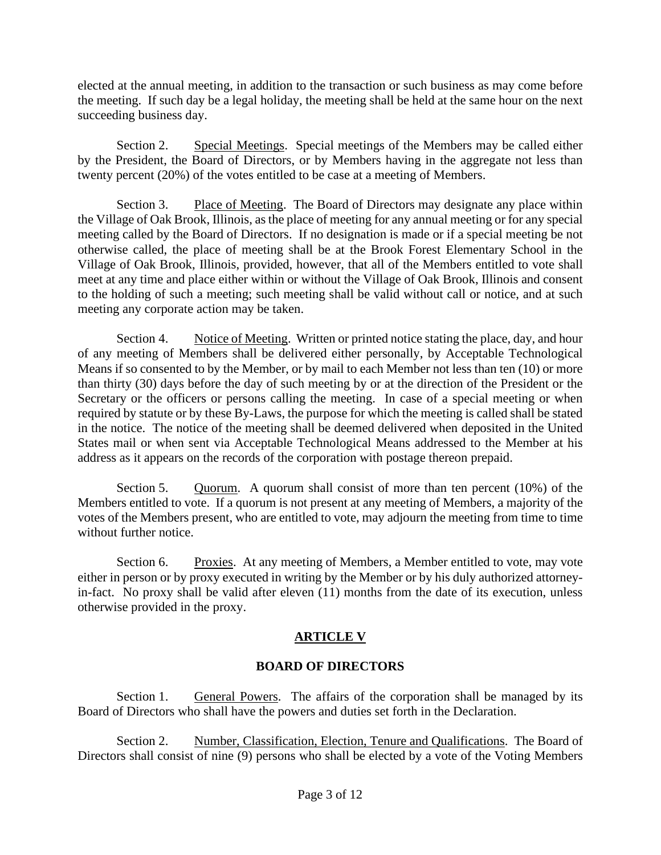elected at the annual meeting, in addition to the transaction or such business as may come before the meeting. If such day be a legal holiday, the meeting shall be held at the same hour on the next succeeding business day.

Section 2. Special Meetings. Special meetings of the Members may be called either by the President, the Board of Directors, or by Members having in the aggregate not less than twenty percent (20%) of the votes entitled to be case at a meeting of Members.

Section 3. Place of Meeting. The Board of Directors may designate any place within the Village of Oak Brook, Illinois, as the place of meeting for any annual meeting or for any special meeting called by the Board of Directors. If no designation is made or if a special meeting be not otherwise called, the place of meeting shall be at the Brook Forest Elementary School in the Village of Oak Brook, Illinois, provided, however, that all of the Members entitled to vote shall meet at any time and place either within or without the Village of Oak Brook, Illinois and consent to the holding of such a meeting; such meeting shall be valid without call or notice, and at such meeting any corporate action may be taken.

Section 4. Notice of Meeting. Written or printed notice stating the place, day, and hour of any meeting of Members shall be delivered either personally, by Acceptable Technological Means if so consented to by the Member, or by mail to each Member not less than ten (10) or more than thirty (30) days before the day of such meeting by or at the direction of the President or the Secretary or the officers or persons calling the meeting. In case of a special meeting or when required by statute or by these By-Laws, the purpose for which the meeting is called shall be stated in the notice. The notice of the meeting shall be deemed delivered when deposited in the United States mail or when sent via Acceptable Technological Means addressed to the Member at his address as it appears on the records of the corporation with postage thereon prepaid.

Section 5. Quorum. A quorum shall consist of more than ten percent (10%) of the Members entitled to vote. If a quorum is not present at any meeting of Members, a majority of the votes of the Members present, who are entitled to vote, may adjourn the meeting from time to time without further notice.

Section 6. Proxies. At any meeting of Members, a Member entitled to vote, may vote either in person or by proxy executed in writing by the Member or by his duly authorized attorneyin-fact. No proxy shall be valid after eleven (11) months from the date of its execution, unless otherwise provided in the proxy.

# **ARTICLE V**

# **BOARD OF DIRECTORS**

Section 1. General Powers. The affairs of the corporation shall be managed by its Board of Directors who shall have the powers and duties set forth in the Declaration.

Section 2. Number, Classification, Election, Tenure and Qualifications. The Board of Directors shall consist of nine (9) persons who shall be elected by a vote of the Voting Members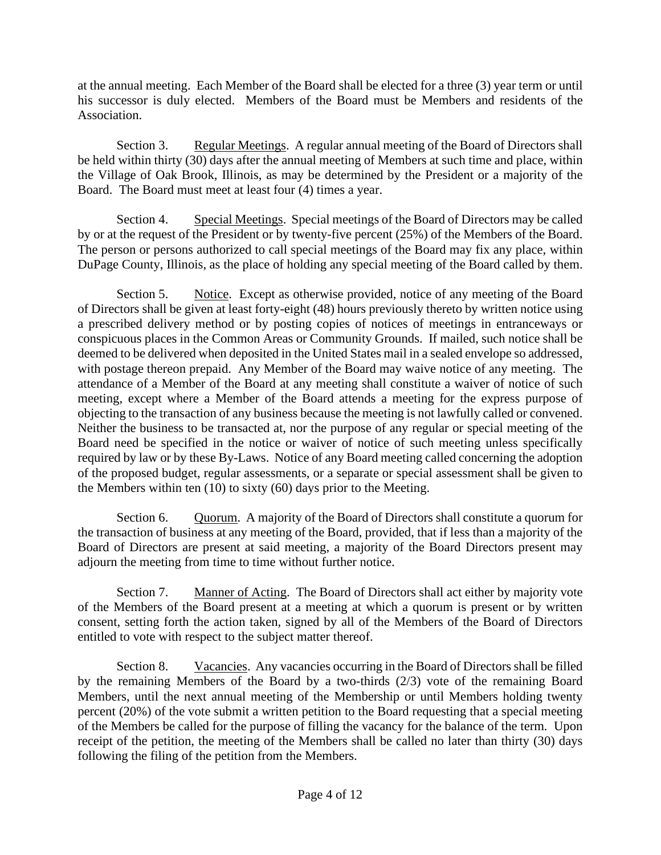at the annual meeting. Each Member of the Board shall be elected for a three (3) year term or until his successor is duly elected. Members of the Board must be Members and residents of the Association.

Section 3. Regular Meetings. A regular annual meeting of the Board of Directors shall be held within thirty (30) days after the annual meeting of Members at such time and place, within the Village of Oak Brook, Illinois, as may be determined by the President or a majority of the Board. The Board must meet at least four (4) times a year.

Section 4. Special Meetings. Special meetings of the Board of Directors may be called by or at the request of the President or by twenty-five percent (25%) of the Members of the Board. The person or persons authorized to call special meetings of the Board may fix any place, within DuPage County, Illinois, as the place of holding any special meeting of the Board called by them.

Section 5. Notice. Except as otherwise provided, notice of any meeting of the Board of Directors shall be given at least forty-eight (48) hours previously thereto by written notice using a prescribed delivery method or by posting copies of notices of meetings in entranceways or conspicuous places in the Common Areas or Community Grounds. If mailed, such notice shall be deemed to be delivered when deposited in the United States mail in a sealed envelope so addressed, with postage thereon prepaid. Any Member of the Board may waive notice of any meeting. The attendance of a Member of the Board at any meeting shall constitute a waiver of notice of such meeting, except where a Member of the Board attends a meeting for the express purpose of objecting to the transaction of any business because the meeting is not lawfully called or convened. Neither the business to be transacted at, nor the purpose of any regular or special meeting of the Board need be specified in the notice or waiver of notice of such meeting unless specifically required by law or by these By-Laws. Notice of any Board meeting called concerning the adoption of the proposed budget, regular assessments, or a separate or special assessment shall be given to the Members within ten (10) to sixty (60) days prior to the Meeting.

Section 6. Ouorum. A majority of the Board of Directors shall constitute a quorum for the transaction of business at any meeting of the Board, provided, that if less than a majority of the Board of Directors are present at said meeting, a majority of the Board Directors present may adjourn the meeting from time to time without further notice.

Section 7. Manner of Acting. The Board of Directors shall act either by majority vote of the Members of the Board present at a meeting at which a quorum is present or by written consent, setting forth the action taken, signed by all of the Members of the Board of Directors entitled to vote with respect to the subject matter thereof.

Section 8. Vacancies. Any vacancies occurring in the Board of Directors shall be filled by the remaining Members of the Board by a two-thirds (2/3) vote of the remaining Board Members, until the next annual meeting of the Membership or until Members holding twenty percent (20%) of the vote submit a written petition to the Board requesting that a special meeting of the Members be called for the purpose of filling the vacancy for the balance of the term. Upon receipt of the petition, the meeting of the Members shall be called no later than thirty (30) days following the filing of the petition from the Members.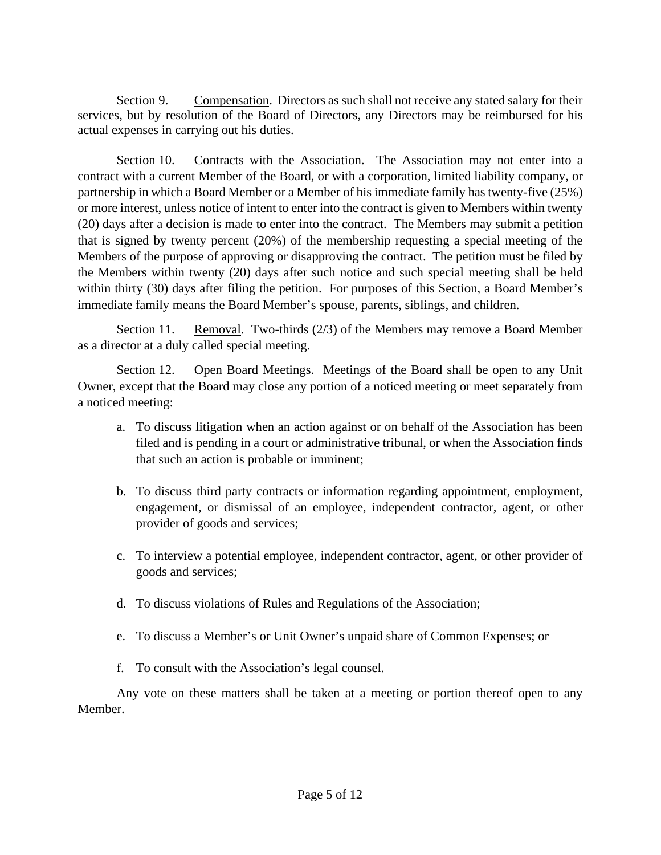Section 9. Compensation. Directors as such shall not receive any stated salary for their services, but by resolution of the Board of Directors, any Directors may be reimbursed for his actual expenses in carrying out his duties.

Section 10. Contracts with the Association. The Association may not enter into a contract with a current Member of the Board, or with a corporation, limited liability company, or partnership in which a Board Member or a Member of his immediate family has twenty-five (25%) or more interest, unless notice of intent to enter into the contract is given to Members within twenty (20) days after a decision is made to enter into the contract. The Members may submit a petition that is signed by twenty percent (20%) of the membership requesting a special meeting of the Members of the purpose of approving or disapproving the contract. The petition must be filed by the Members within twenty (20) days after such notice and such special meeting shall be held within thirty (30) days after filing the petition. For purposes of this Section, a Board Member's immediate family means the Board Member's spouse, parents, siblings, and children.

Section 11. Removal. Two-thirds (2/3) of the Members may remove a Board Member as a director at a duly called special meeting.

Section 12. Open Board Meetings. Meetings of the Board shall be open to any Unit Owner, except that the Board may close any portion of a noticed meeting or meet separately from a noticed meeting:

- a. To discuss litigation when an action against or on behalf of the Association has been filed and is pending in a court or administrative tribunal, or when the Association finds that such an action is probable or imminent;
- b. To discuss third party contracts or information regarding appointment, employment, engagement, or dismissal of an employee, independent contractor, agent, or other provider of goods and services;
- c. To interview a potential employee, independent contractor, agent, or other provider of goods and services;
- d. To discuss violations of Rules and Regulations of the Association;
- e. To discuss a Member's or Unit Owner's unpaid share of Common Expenses; or
- f. To consult with the Association's legal counsel.

Any vote on these matters shall be taken at a meeting or portion thereof open to any Member.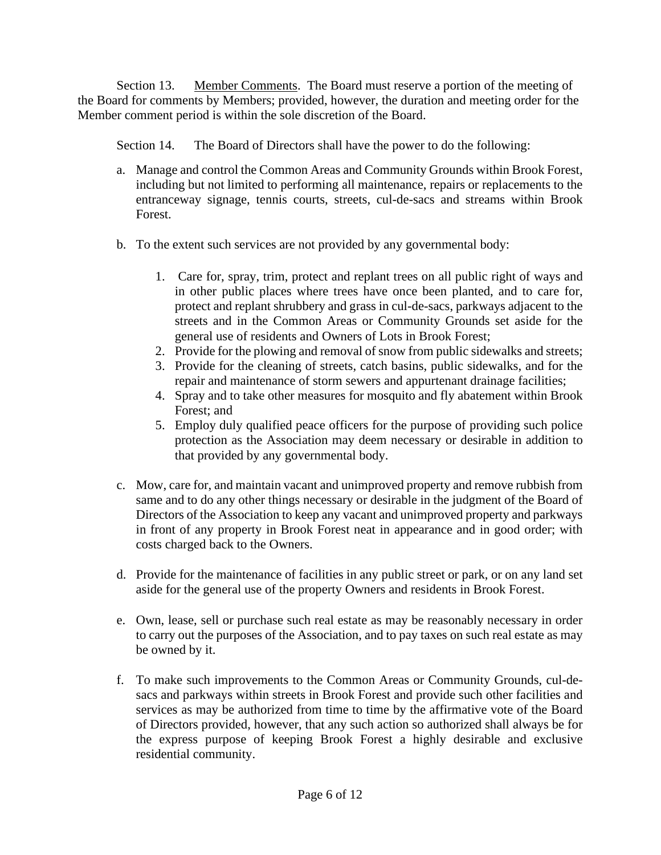Section 13. Member Comments. The Board must reserve a portion of the meeting of the Board for comments by Members; provided, however, the duration and meeting order for the Member comment period is within the sole discretion of the Board.

Section 14. The Board of Directors shall have the power to do the following:

- a. Manage and control the Common Areas and Community Grounds within Brook Forest, including but not limited to performing all maintenance, repairs or replacements to the entranceway signage, tennis courts, streets, cul-de-sacs and streams within Brook Forest.
- b. To the extent such services are not provided by any governmental body:
	- 1. Care for, spray, trim, protect and replant trees on all public right of ways and in other public places where trees have once been planted, and to care for, protect and replant shrubbery and grass in cul-de-sacs, parkways adjacent to the streets and in the Common Areas or Community Grounds set aside for the general use of residents and Owners of Lots in Brook Forest;
	- 2. Provide for the plowing and removal of snow from public sidewalks and streets;
	- 3. Provide for the cleaning of streets, catch basins, public sidewalks, and for the repair and maintenance of storm sewers and appurtenant drainage facilities;
	- 4. Spray and to take other measures for mosquito and fly abatement within Brook Forest; and
	- 5. Employ duly qualified peace officers for the purpose of providing such police protection as the Association may deem necessary or desirable in addition to that provided by any governmental body.
- c. Mow, care for, and maintain vacant and unimproved property and remove rubbish from same and to do any other things necessary or desirable in the judgment of the Board of Directors of the Association to keep any vacant and unimproved property and parkways in front of any property in Brook Forest neat in appearance and in good order; with costs charged back to the Owners.
- d. Provide for the maintenance of facilities in any public street or park, or on any land set aside for the general use of the property Owners and residents in Brook Forest.
- e. Own, lease, sell or purchase such real estate as may be reasonably necessary in order to carry out the purposes of the Association, and to pay taxes on such real estate as may be owned by it.
- f. To make such improvements to the Common Areas or Community Grounds, cul-desacs and parkways within streets in Brook Forest and provide such other facilities and services as may be authorized from time to time by the affirmative vote of the Board of Directors provided, however, that any such action so authorized shall always be for the express purpose of keeping Brook Forest a highly desirable and exclusive residential community.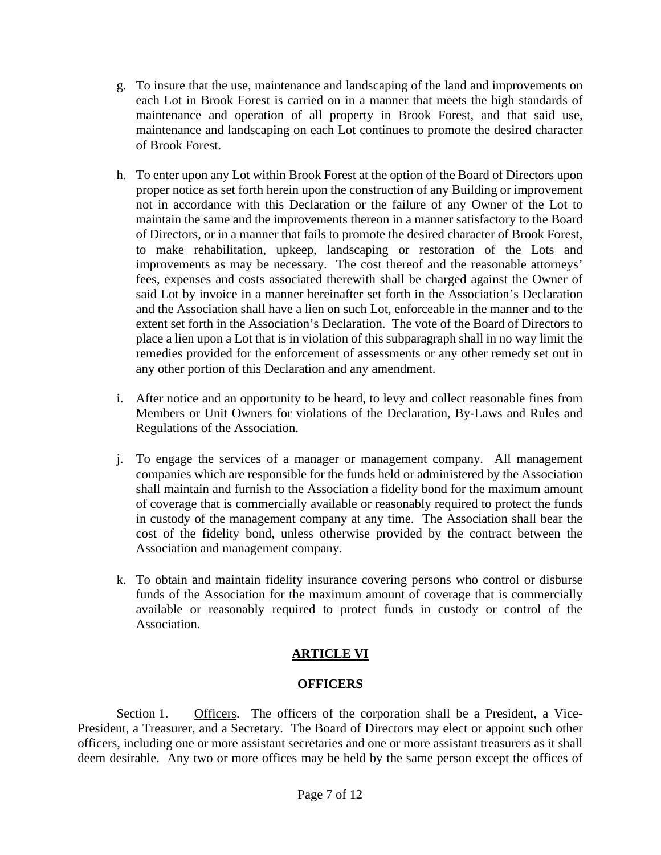- g. To insure that the use, maintenance and landscaping of the land and improvements on each Lot in Brook Forest is carried on in a manner that meets the high standards of maintenance and operation of all property in Brook Forest, and that said use, maintenance and landscaping on each Lot continues to promote the desired character of Brook Forest.
- h. To enter upon any Lot within Brook Forest at the option of the Board of Directors upon proper notice as set forth herein upon the construction of any Building or improvement not in accordance with this Declaration or the failure of any Owner of the Lot to maintain the same and the improvements thereon in a manner satisfactory to the Board of Directors, or in a manner that fails to promote the desired character of Brook Forest, to make rehabilitation, upkeep, landscaping or restoration of the Lots and improvements as may be necessary. The cost thereof and the reasonable attorneys' fees, expenses and costs associated therewith shall be charged against the Owner of said Lot by invoice in a manner hereinafter set forth in the Association's Declaration and the Association shall have a lien on such Lot, enforceable in the manner and to the extent set forth in the Association's Declaration. The vote of the Board of Directors to place a lien upon a Lot that is in violation of this subparagraph shall in no way limit the remedies provided for the enforcement of assessments or any other remedy set out in any other portion of this Declaration and any amendment.
- i. After notice and an opportunity to be heard, to levy and collect reasonable fines from Members or Unit Owners for violations of the Declaration, By-Laws and Rules and Regulations of the Association.
- j. To engage the services of a manager or management company. All management companies which are responsible for the funds held or administered by the Association shall maintain and furnish to the Association a fidelity bond for the maximum amount of coverage that is commercially available or reasonably required to protect the funds in custody of the management company at any time. The Association shall bear the cost of the fidelity bond, unless otherwise provided by the contract between the Association and management company.
- k. To obtain and maintain fidelity insurance covering persons who control or disburse funds of the Association for the maximum amount of coverage that is commercially available or reasonably required to protect funds in custody or control of the Association.

# **ARTICLE VI**

## **OFFICERS**

Section 1. Officers. The officers of the corporation shall be a President, a Vice-President, a Treasurer, and a Secretary. The Board of Directors may elect or appoint such other officers, including one or more assistant secretaries and one or more assistant treasurers as it shall deem desirable. Any two or more offices may be held by the same person except the offices of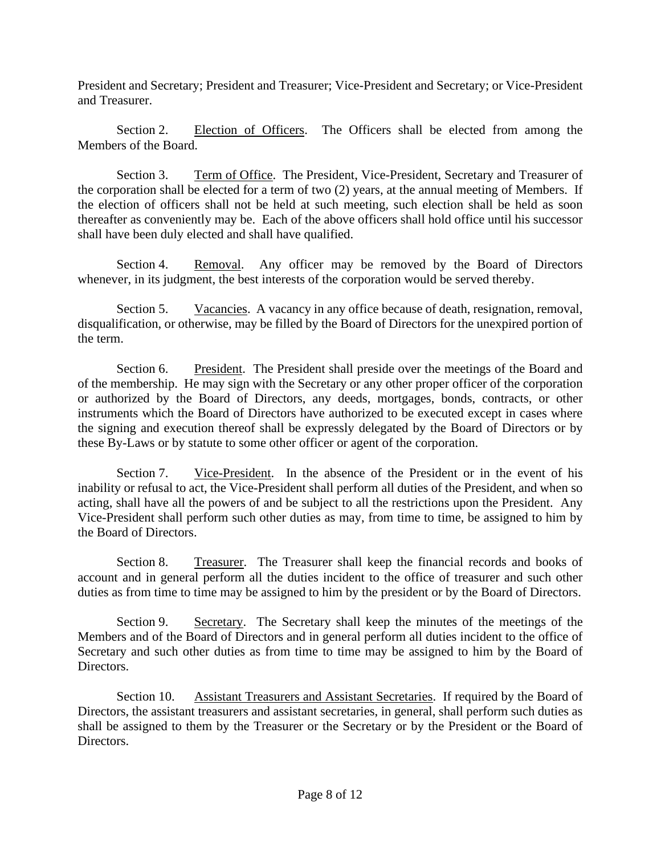President and Secretary; President and Treasurer; Vice-President and Secretary; or Vice-President and Treasurer.

Section 2. Election of Officers. The Officers shall be elected from among the Members of the Board.

Section 3. Term of Office. The President, Vice-President, Secretary and Treasurer of the corporation shall be elected for a term of two (2) years, at the annual meeting of Members. If the election of officers shall not be held at such meeting, such election shall be held as soon thereafter as conveniently may be. Each of the above officers shall hold office until his successor shall have been duly elected and shall have qualified.

Section 4. Removal. Any officer may be removed by the Board of Directors whenever, in its judgment, the best interests of the corporation would be served thereby.

Section 5. Vacancies. A vacancy in any office because of death, resignation, removal, disqualification, or otherwise, may be filled by the Board of Directors for the unexpired portion of the term.

Section 6. President. The President shall preside over the meetings of the Board and of the membership. He may sign with the Secretary or any other proper officer of the corporation or authorized by the Board of Directors, any deeds, mortgages, bonds, contracts, or other instruments which the Board of Directors have authorized to be executed except in cases where the signing and execution thereof shall be expressly delegated by the Board of Directors or by these By-Laws or by statute to some other officer or agent of the corporation.

Section 7. Vice-President. In the absence of the President or in the event of his inability or refusal to act, the Vice-President shall perform all duties of the President, and when so acting, shall have all the powers of and be subject to all the restrictions upon the President. Any Vice-President shall perform such other duties as may, from time to time, be assigned to him by the Board of Directors.

Section 8. Treasurer. The Treasurer shall keep the financial records and books of account and in general perform all the duties incident to the office of treasurer and such other duties as from time to time may be assigned to him by the president or by the Board of Directors.

Section 9. Secretary. The Secretary shall keep the minutes of the meetings of the Members and of the Board of Directors and in general perform all duties incident to the office of Secretary and such other duties as from time to time may be assigned to him by the Board of Directors.

Section 10. Assistant Treasurers and Assistant Secretaries. If required by the Board of Directors, the assistant treasurers and assistant secretaries, in general, shall perform such duties as shall be assigned to them by the Treasurer or the Secretary or by the President or the Board of Directors.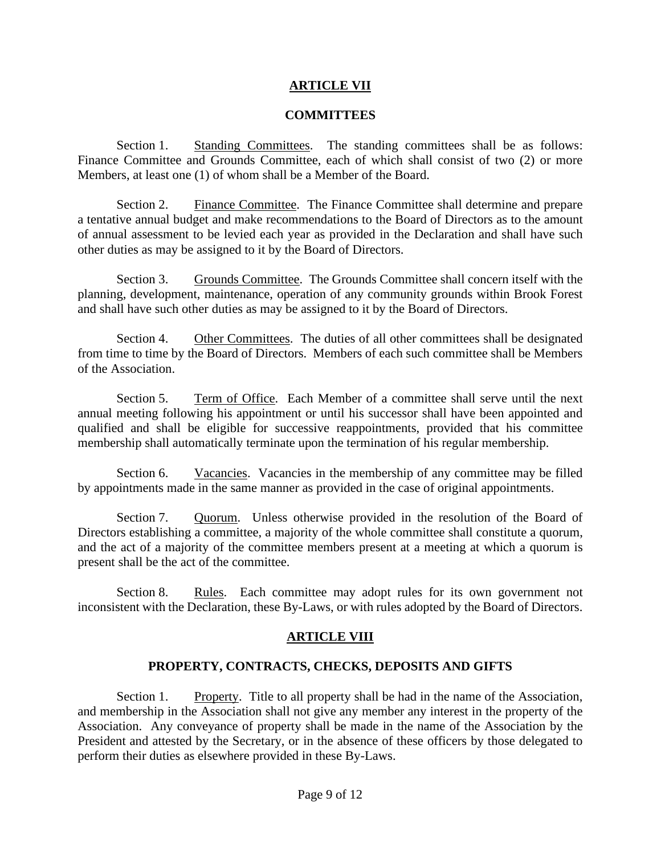## **ARTICLE VII**

#### **COMMITTEES**

Section 1. Standing Committees. The standing committees shall be as follows: Finance Committee and Grounds Committee, each of which shall consist of two (2) or more Members, at least one (1) of whom shall be a Member of the Board.

Section 2. Finance Committee. The Finance Committee shall determine and prepare a tentative annual budget and make recommendations to the Board of Directors as to the amount of annual assessment to be levied each year as provided in the Declaration and shall have such other duties as may be assigned to it by the Board of Directors.

Section 3. Grounds Committee. The Grounds Committee shall concern itself with the planning, development, maintenance, operation of any community grounds within Brook Forest and shall have such other duties as may be assigned to it by the Board of Directors.

Section 4. Other Committees. The duties of all other committees shall be designated from time to time by the Board of Directors. Members of each such committee shall be Members of the Association.

Section 5. Term of Office. Each Member of a committee shall serve until the next annual meeting following his appointment or until his successor shall have been appointed and qualified and shall be eligible for successive reappointments, provided that his committee membership shall automatically terminate upon the termination of his regular membership.

Section 6. Vacancies. Vacancies in the membership of any committee may be filled by appointments made in the same manner as provided in the case of original appointments.

Section 7. Quorum. Unless otherwise provided in the resolution of the Board of Directors establishing a committee, a majority of the whole committee shall constitute a quorum, and the act of a majority of the committee members present at a meeting at which a quorum is present shall be the act of the committee.

Section 8. Rules. Each committee may adopt rules for its own government not inconsistent with the Declaration, these By-Laws, or with rules adopted by the Board of Directors.

## **ARTICLE VIII**

## **PROPERTY, CONTRACTS, CHECKS, DEPOSITS AND GIFTS**

Section 1. Property. Title to all property shall be had in the name of the Association, and membership in the Association shall not give any member any interest in the property of the Association. Any conveyance of property shall be made in the name of the Association by the President and attested by the Secretary, or in the absence of these officers by those delegated to perform their duties as elsewhere provided in these By-Laws.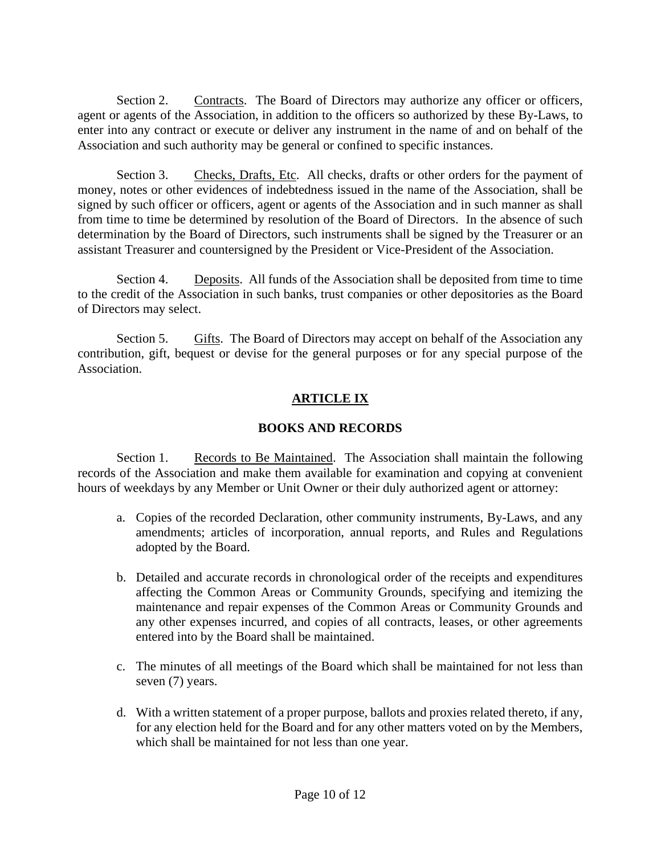Section 2. Contracts. The Board of Directors may authorize any officer or officers, agent or agents of the Association, in addition to the officers so authorized by these By-Laws, to enter into any contract or execute or deliver any instrument in the name of and on behalf of the Association and such authority may be general or confined to specific instances.

Section 3. Checks, Drafts, Etc. All checks, drafts or other orders for the payment of money, notes or other evidences of indebtedness issued in the name of the Association, shall be signed by such officer or officers, agent or agents of the Association and in such manner as shall from time to time be determined by resolution of the Board of Directors. In the absence of such determination by the Board of Directors, such instruments shall be signed by the Treasurer or an assistant Treasurer and countersigned by the President or Vice-President of the Association.

Section 4. Deposits. All funds of the Association shall be deposited from time to time to the credit of the Association in such banks, trust companies or other depositories as the Board of Directors may select.

Section 5. Gifts. The Board of Directors may accept on behalf of the Association any contribution, gift, bequest or devise for the general purposes or for any special purpose of the Association.

# **ARTICLE IX**

# **BOOKS AND RECORDS**

Section 1. Records to Be Maintained. The Association shall maintain the following records of the Association and make them available for examination and copying at convenient hours of weekdays by any Member or Unit Owner or their duly authorized agent or attorney:

- a. Copies of the recorded Declaration, other community instruments, By-Laws, and any amendments; articles of incorporation, annual reports, and Rules and Regulations adopted by the Board.
- b. Detailed and accurate records in chronological order of the receipts and expenditures affecting the Common Areas or Community Grounds, specifying and itemizing the maintenance and repair expenses of the Common Areas or Community Grounds and any other expenses incurred, and copies of all contracts, leases, or other agreements entered into by the Board shall be maintained.
- c. The minutes of all meetings of the Board which shall be maintained for not less than seven (7) years.
- d. With a written statement of a proper purpose, ballots and proxies related thereto, if any, for any election held for the Board and for any other matters voted on by the Members, which shall be maintained for not less than one year.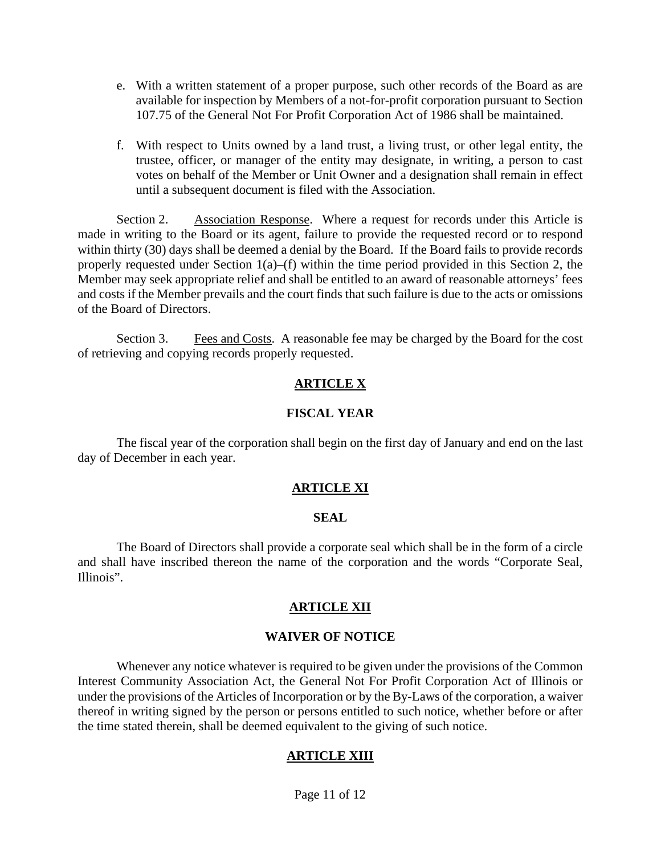- e. With a written statement of a proper purpose, such other records of the Board as are available for inspection by Members of a not-for-profit corporation pursuant to Section 107.75 of the General Not For Profit Corporation Act of 1986 shall be maintained.
- f. With respect to Units owned by a land trust, a living trust, or other legal entity, the trustee, officer, or manager of the entity may designate, in writing, a person to cast votes on behalf of the Member or Unit Owner and a designation shall remain in effect until a subsequent document is filed with the Association.

Section 2. Association Response. Where a request for records under this Article is made in writing to the Board or its agent, failure to provide the requested record or to respond within thirty (30) days shall be deemed a denial by the Board. If the Board fails to provide records properly requested under Section 1(a)–(f) within the time period provided in this Section 2, the Member may seek appropriate relief and shall be entitled to an award of reasonable attorneys' fees and costs if the Member prevails and the court finds that such failure is due to the acts or omissions of the Board of Directors.

Section 3. Fees and Costs. A reasonable fee may be charged by the Board for the cost of retrieving and copying records properly requested.

## **ARTICLE X**

#### **FISCAL YEAR**

The fiscal year of the corporation shall begin on the first day of January and end on the last day of December in each year.

## **ARTICLE XI**

#### **SEAL**

The Board of Directors shall provide a corporate seal which shall be in the form of a circle and shall have inscribed thereon the name of the corporation and the words "Corporate Seal, Illinois".

#### **ARTICLE XII**

#### **WAIVER OF NOTICE**

Whenever any notice whatever is required to be given under the provisions of the Common Interest Community Association Act, the General Not For Profit Corporation Act of Illinois or under the provisions of the Articles of Incorporation or by the By-Laws of the corporation, a waiver thereof in writing signed by the person or persons entitled to such notice, whether before or after the time stated therein, shall be deemed equivalent to the giving of such notice.

## **ARTICLE XIII**